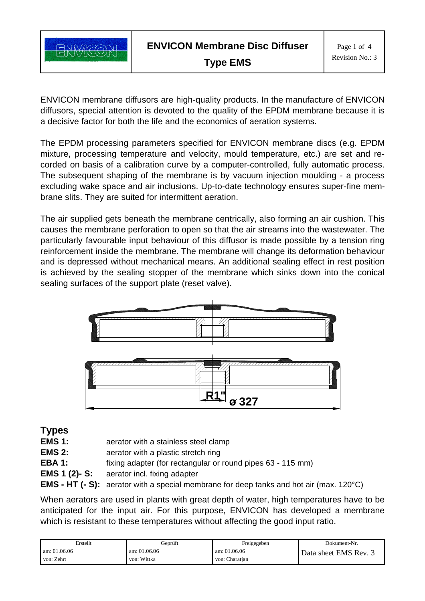

ENVICON membrane diffusors are high-quality products. In the manufacture of ENVICON diffusors, special attention is devoted to the quality of the EPDM membrane because it is a decisive factor for both the life and the economics of aeration systems.

The EPDM processing parameters specified for ENVICON membrane discs (e.g. EPDM mixture, processing temperature and velocity, mould temperature, etc.) are set and recorded on basis of a calibration curve by a computer-controlled, fully automatic process. The subsequent shaping of the membrane is by vacuum injection moulding - a process excluding wake space and air inclusions. Up-to-date technology ensures super-fine membrane slits. They are suited for intermittent aeration.

The air supplied gets beneath the membrane centrically, also forming an air cushion. This causes the membrane perforation to open so that the air streams into the wastewater. The particularly favourable input behaviour of this diffusor is made possible by a tension ring reinforcement inside the membrane. The membrane will change its deformation behaviour and is depressed without mechanical means. An additional sealing effect in rest position is achieved by the sealing stopper of the membrane which sinks down into the conical sealing surfaces of the support plate (reset valve).



**Types**

- **EMS 1:** aerator with a stainless steel clamp
- **EMS 2:** aerator with a plastic stretch ring
- **EBA 1:** fixing adapter (for rectangular or round pipes 63 115 mm)
- **EMS 1 (2)- S:** aerator incl. fixing adapter
- **EMS - HT (- S):** aerator with a special membrane for deep tanks and hot air (max. 120°C)

When aerators are used in plants with great depth of water, high temperatures have to be anticipated for the input air. For this purpose, ENVICON has developed a membrane which is resistant to these temperatures without affecting the good input ratio.

| Erstellt       | Geprüft      | Freigegeben    | Dokument-Nr.          |
|----------------|--------------|----------------|-----------------------|
| am: $01.06.06$ | am: 01.06.06 | am: $01.06.06$ | Data sheet EMS Rev. 3 |
| von: Zehrt     | von: Wittka  | von: Charatian |                       |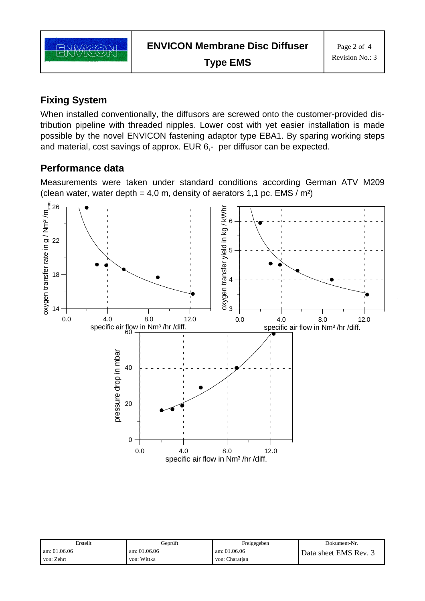

## **Fixing System**

When installed conventionally, the diffusors are screwed onto the customer-provided distribution pipeline with threaded nipples. Lower cost with yet easier installation is made possible by the novel ENVICON fastening adaptor type EBA1. By sparing working steps and material, cost savings of approx. EUR 6,- per diffusor can be expected.

## **Performance data**

Measurements were taken under standard conditions according German ATV M209 (clean water, water depth = 4,0 m, density of aerators 1,1 pc. EMS /  $m<sup>2</sup>$ )



| Erstellt       | Geprüft        | Freigegeben    | Dokument-Nr.          |
|----------------|----------------|----------------|-----------------------|
| am: $01.06.06$ | am: $01.06.06$ | am: 01.06.06   | Data sheet EMS Rev. 3 |
| von: Zehrt     | von: Wittka    | von: Charatian |                       |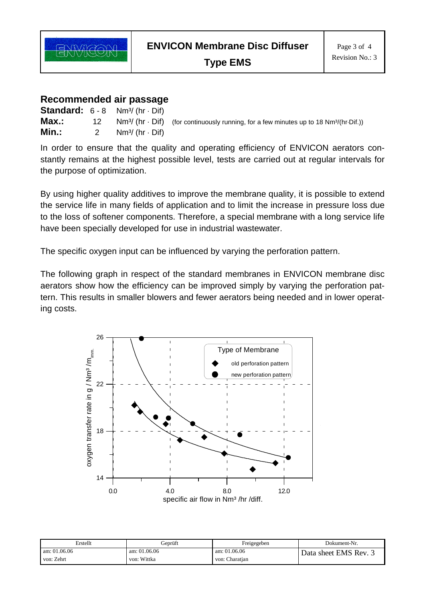

**Type EMS**

## **Recommended air passage**

|       |    | <b>Standard:</b> $6 - 8$ Nm <sup>3</sup> /(hr $\cdot$ Dif) |                                                                                                                   |
|-------|----|------------------------------------------------------------|-------------------------------------------------------------------------------------------------------------------|
| Max.: | 12 |                                                            | $Nm^3$ (hr $\cdot$ Dif) (for continuously running, for a few minutes up to 18 Nm <sup>3</sup> /(hr $\cdot$ Dif.)) |
| Min.: |    | $Nm^{3}/(hr \cdot Dif)$                                    |                                                                                                                   |

In order to ensure that the quality and operating efficiency of ENVICON aerators constantly remains at the highest possible level, tests are carried out at regular intervals for the purpose of optimization.

By using higher quality additives to improve the membrane quality, it is possible to extend the service life in many fields of application and to limit the increase in pressure loss due to the loss of softener components. Therefore, a special membrane with a long service life have been specially developed for use in industrial wastewater.

The specific oxygen input can be influenced by varying the perforation pattern.

The following graph in respect of the standard membranes in ENVICON membrane disc aerators show how the efficiency can be improved simply by varying the perforation pattern. This results in smaller blowers and fewer aerators being needed and in lower operating costs.



| Erstellt       | Geprüft        | Freigegeben    | Dokument-Nr.        |
|----------------|----------------|----------------|---------------------|
| am: $01.06.06$ | am: $01.06.06$ | am: $01.06.06$ | Data sheet EMS Rev. |
| von: Zehrt     | von: Wittka    | von: Charatian |                     |